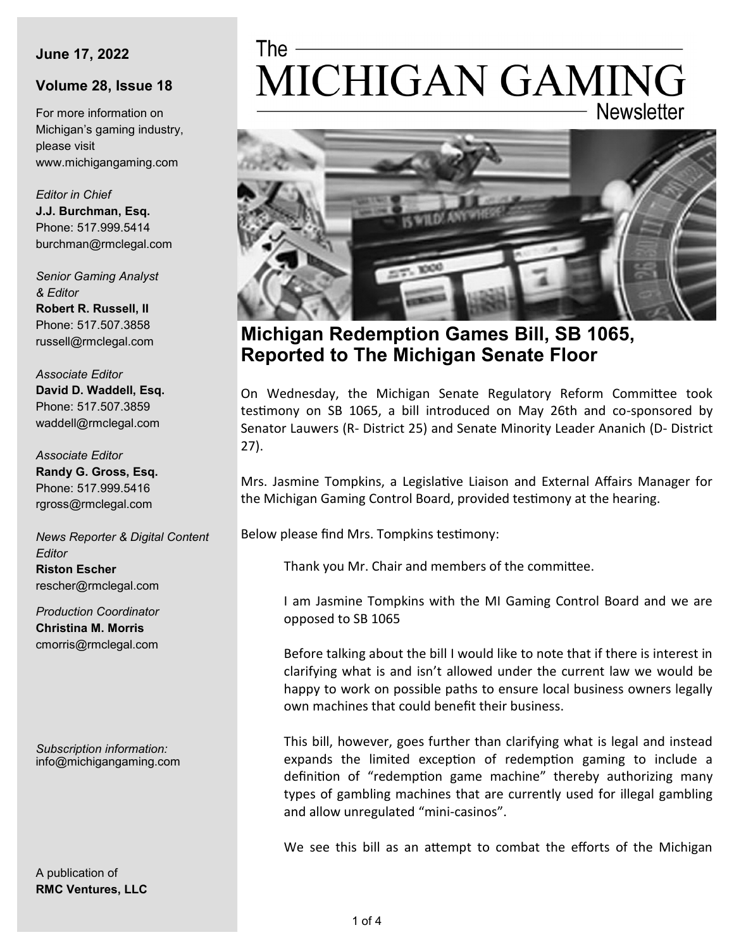#### **June 17, 2022**

### **Volume 28, Issue 18**

For more information on Michigan's gaming industry, please visit www.michigangaming.com

*Editor in Chief* **J.J. Burchman, Esq.** Phone: 517.999.5414 burchman@rmclegal.com

*Senior Gaming Analyst & Editor* **Robert R. Russell, II** Phone: 517.507.3858 russell@rmclegal.com

*Associate Editor* **David D. Waddell, Esq.** Phone: 517.507.3859 waddell@rmclegal.com

*Associate Editor* **Randy G. Gross, Esq.** Phone: 517.999.5416 rgross@rmclegal.com

*News Reporter & Digital Content Editor* **Riston Escher** rescher@rmclegal.com

*Production Coordinator* **Christina M. Morris** cmorris@rmclegal.com

*Subscription information:* info@michigangaming.com

A publication of **RMC Ventures, LLC**

# MICHIGAN GAMING **Newsletter**



**Michigan Redemption Games Bill, SB 1065, Reported to The Michigan Senate Floor** 

On Wednesday, the Michigan Senate Regulatory Reform Committee took testimony on SB 1065, a bill introduced on May 26th and co-sponsored by Senator Lauwers (R- District 25) and Senate Minority Leader Ananich (D- District 27).

Mrs. Jasmine Tompkins, a Legislative Liaison and External Affairs Manager for the Michigan Gaming Control Board, provided testimony at the hearing.

Below please find Mrs. Tompkins testimony:

Thank you Mr. Chair and members of the committee.

I am Jasmine Tompkins with the MI Gaming Control Board and we are opposed to SB 1065

Before talking about the bill I would like to note that if there is interest in clarifying what is and isn't allowed under the current law we would be happy to work on possible paths to ensure local business owners legally own machines that could benefit their business.

This bill, however, goes further than clarifying what is legal and instead expands the limited exception of redemption gaming to include a definition of "redemption game machine" thereby authorizing many types of gambling machines that are currently used for illegal gambling and allow unregulated "mini-casinos".

We see this bill as an attempt to combat the efforts of the Michigan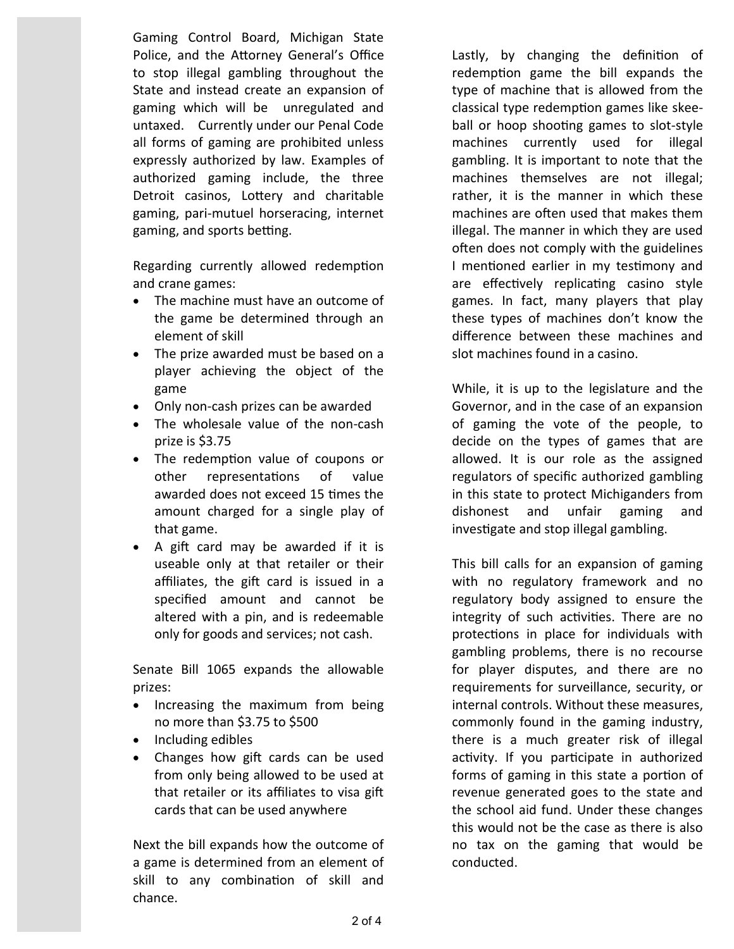Gaming Control Board, Michigan State Police, and the Attorney General's Office to stop illegal gambling throughout the State and instead create an expansion of gaming which will be unregulated and untaxed. Currently under our Penal Code all forms of gaming are prohibited unless expressly authorized by law. Examples of authorized gaming include, the three Detroit casinos, Lottery and charitable gaming, pari-mutuel horseracing, internet gaming, and sports betting.

Regarding currently allowed redemption and crane games:

- The machine must have an outcome of the game be determined through an element of skill
- The prize awarded must be based on a player achieving the object of the game
- Only non-cash prizes can be awarded
- The wholesale value of the non-cash prize is \$3.75
- The redemption value of coupons or other representations of value awarded does not exceed 15 times the amount charged for a single play of that game.
- A gift card may be awarded if it is useable only at that retailer or their affiliates, the gift card is issued in a specified amount and cannot be altered with a pin, and is redeemable only for goods and services; not cash.

Senate Bill 1065 expands the allowable prizes:

- Increasing the maximum from being no more than \$3.75 to \$500
- Including edibles
- Changes how gift cards can be used from only being allowed to be used at that retailer or its affiliates to visa gift cards that can be used anywhere

Next the bill expands how the outcome of a game is determined from an element of skill to any combination of skill and chance.

Lastly, by changing the definition of redemption game the bill expands the type of machine that is allowed from the classical type redemption games like skeeball or hoop shooting games to slot-style machines currently used for illegal gambling. It is important to note that the machines themselves are not illegal; rather, it is the manner in which these machines are often used that makes them illegal. The manner in which they are used often does not comply with the guidelines I mentioned earlier in my testimony and are effectively replicating casino style games. In fact, many players that play these types of machines don't know the difference between these machines and slot machines found in a casino.

While, it is up to the legislature and the Governor, and in the case of an expansion of gaming the vote of the people, to decide on the types of games that are allowed. It is our role as the assigned regulators of specific authorized gambling in this state to protect Michiganders from dishonest and unfair gaming and investigate and stop illegal gambling.

This bill calls for an expansion of gaming with no regulatory framework and no regulatory body assigned to ensure the integrity of such activities. There are no protections in place for individuals with gambling problems, there is no recourse for player disputes, and there are no requirements for surveillance, security, or internal controls. Without these measures, commonly found in the gaming industry, there is a much greater risk of illegal activity. If you participate in authorized forms of gaming in this state a portion of revenue generated goes to the state and the school aid fund. Under these changes this would not be the case as there is also no tax on the gaming that would be conducted.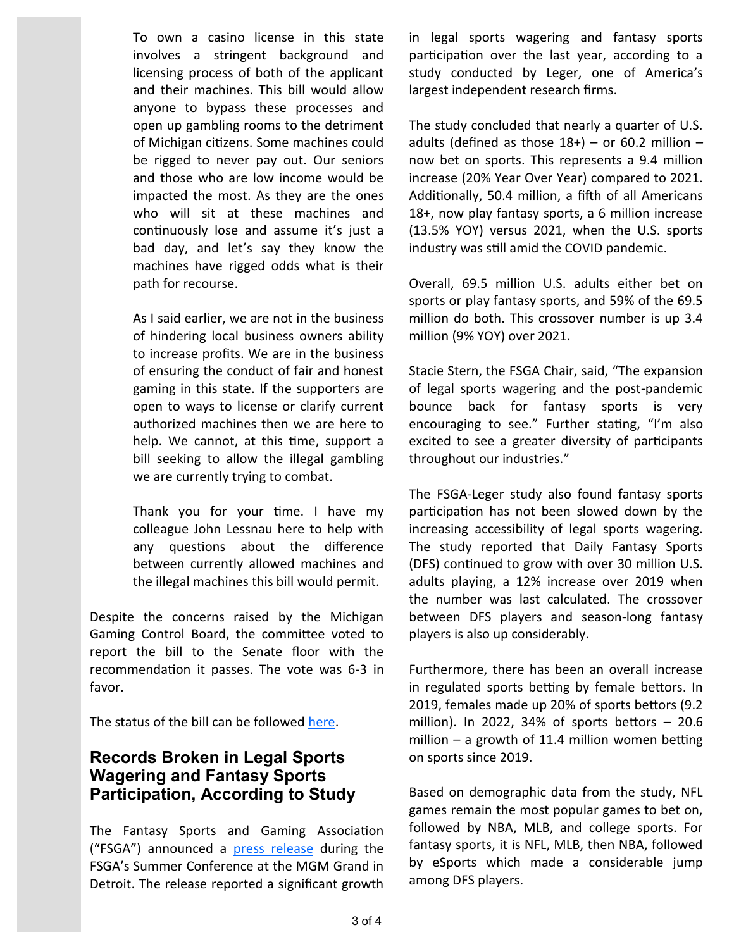To own a casino license in this state involves a stringent background and licensing process of both of the applicant and their machines. This bill would allow anyone to bypass these processes and open up gambling rooms to the detriment of Michigan citizens. Some machines could be rigged to never pay out. Our seniors and those who are low income would be impacted the most. As they are the ones who will sit at these machines and continuously lose and assume it's just a bad day, and let's say they know the machines have rigged odds what is their path for recourse.

As I said earlier, we are not in the business of hindering local business owners ability to increase profits. We are in the business of ensuring the conduct of fair and honest gaming in this state. If the supporters are open to ways to license or clarify current authorized machines then we are here to help. We cannot, at this time, support a bill seeking to allow the illegal gambling we are currently trying to combat.

Thank you for your time. I have my colleague John Lessnau here to help with any questions about the difference between currently allowed machines and the illegal machines this bill would permit.

Despite the concerns raised by the Michigan Gaming Control Board, the committee voted to report the bill to the Senate floor with the recommendation it passes. The vote was 6-3 in favor.

The status of the bill can be followed [here.](https://legislature.mi.gov/(S(kf5e5glkuj5k5rxjkjrtaabf))/mileg.aspx?page=getObject&objectName=2022-SB-1065)

## **Records Broken in Legal Sports Wagering and Fantasy Sports Participation, According to Study**

The Fantasy Sports and Gaming Association ("FSGA") announced a [press release](https://thefsga.org/records-broken-in-legal-sports-wagering-and-fantasy-sports-participation/) during the FSGA's Summer Conference at the MGM Grand in Detroit. The release reported a significant growth

in legal sports wagering and fantasy sports participation over the last year, according to a study conducted by Leger, one of America's largest independent research firms.

The study concluded that nearly a quarter of U.S. adults (defined as those  $18+$ ) – or 60.2 million – now bet on sports. This represents a 9.4 million increase (20% Year Over Year) compared to 2021. Additionally, 50.4 million, a fifth of all Americans 18+, now play fantasy sports, a 6 million increase (13.5% YOY) versus 2021, when the U.S. sports industry was still amid the COVID pandemic.

Overall, 69.5 million U.S. adults either bet on sports or play fantasy sports, and 59% of the 69.5 million do both. This crossover number is up 3.4 million (9% YOY) over 2021.

Stacie Stern, the FSGA Chair, said, "The expansion of legal sports wagering and the post-pandemic bounce back for fantasy sports is very encouraging to see." Further stating, "I'm also excited to see a greater diversity of participants throughout our industries."

The FSGA-Leger study also found fantasy sports participation has not been slowed down by the increasing accessibility of legal sports wagering. The study reported that Daily Fantasy Sports (DFS) continued to grow with over 30 million U.S. adults playing, a 12% increase over 2019 when the number was last calculated. The crossover between DFS players and season-long fantasy players is also up considerably.

Furthermore, there has been an overall increase in regulated sports betting by female bettors. In 2019, females made up 20% of sports bettors (9.2 million). In 2022, 34% of sports bettors  $-20.6$ million – a growth of 11.4 million women betting on sports since 2019.

Based on demographic data from the study, NFL games remain the most popular games to bet on, followed by NBA, MLB, and college sports. For fantasy sports, it is NFL, MLB, then NBA, followed by eSports which made a considerable jump among DFS players.